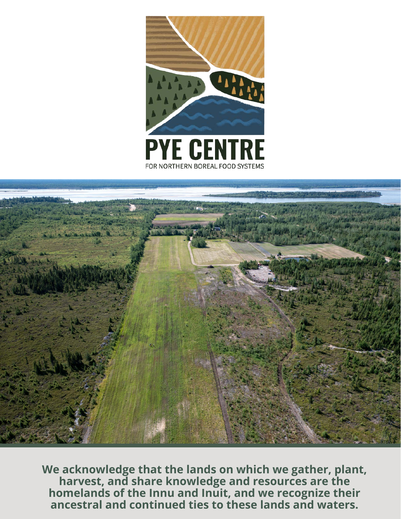



**We acknowledge that the lands on which we gather, plant, harvest, and share knowledge and resources are the homelands of the Innu and Inuit, and we recognize their ancestral and continued ties to these lands and waters.**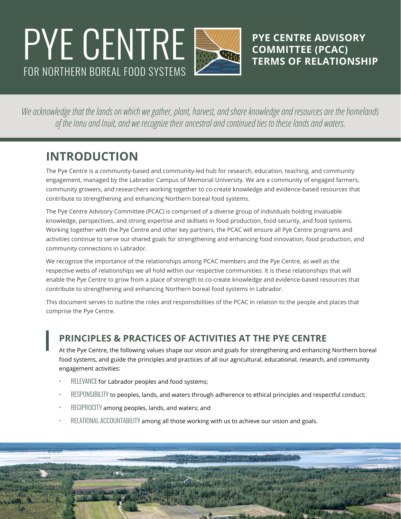# FOR NORTHERN BOREAL FOOD SYSTEMS **PYE CENTRE SURVE CENTRE ADVISORY**

**COMMITTEE (PCAC) TERMS OF RELATIONSHIP**

*We acknowledge that the lands on which we gather, plant, harvest, and share knowledge and resources are the homelands of the Innu and Inuit, and we recognize their ancestral and continued ties to these lands and waters.*

### **INTRODUCTION**

The Pye Centre is a community-based and community-led hub for research, education, teaching, and community engagement, managed by the Labrador Campus of Memorial University. We are a community of engaged farmers, community growers, and researchers working together to co-create knowledge and evidence-based resources that contribute to strengthening and enhancing Northern boreal food systems.

The Pye Centre Advisory Committee (PCAC) is comprised of a diverse group of individuals holding invaluable knowledge, perspectives, and strong expertise and skillsets in food production, food security, and food systems. Working together with the Pye Centre and other key partners, the PCAC will ensure all Pye Centre programs and activities continue to serve our shared goals for strengthening and enhancing food innovation, food production, and community connections in Labrador.

We recognize the importance of the relationships among PCAC members and the Pye Centre, as well as the respective webs of relationships we all hold within our respective communities. It is these relationships that will enable the Pye Centre to grow from a place of strength to co-create knowledge and evidence-based resources that contribute to strengthening and enhancing Northern boreal food systems in Labrador.

This document serves to outline the roles and responsibilities of the PCAC in relation to the people and places that comprise the Pye Centre.

#### **PRINCIPLES & PRACTICES OF ACTIVITIES AT THE PYE CENTRE**

At the Pye Centre, the following values shape our vision and goals for strengthening and enhancing Northern boreal food systems, and guide the principles and practices of all our agricultural, educational, research, and community engagement activities:

- RELEVANCE for Labrador peoples and food systems;
- RESPONSIBILITY to peoples, lands, and waters through adherence to ethical principles and respectful conduct;
- RECIPROCITY among peoples, lands, and waters; and
- RELATIONAL ACCOUNTABILITY among all those working with us to achieve our vision and goals.

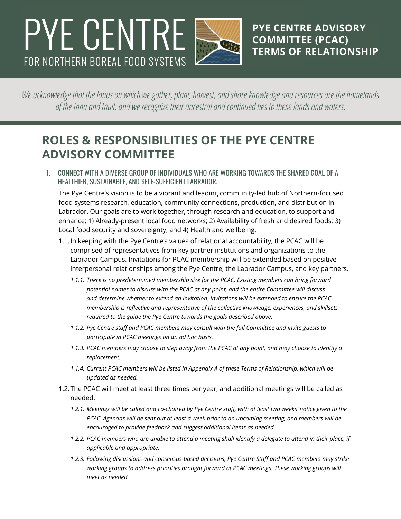## FOR NORTHERN BOREAL FOOD SYSTEMS **PYE CENTRE COMMITTEE (PCAC)**



**COMMITTEE (PCAC) TERMS OF RELATIONSHIP**

*We acknowledge that the lands on which we gather, plant, harvest, and share knowledge and resources are the homelands of the Innu and Inuit, and we recognize their ancestral and continued ties to these lands and waters.*

### **ROLES & RESPONSIBILITIES OF THE PYE CENTRE ADVISORY COMMITTEE**

1. CONNECT WITH A DIVERSE GROUP OF INDIVIDUALS WHO ARE WORKING TOWARDS THE SHARED GOAL OF A HEALTHIER, SUSTAINABLE, AND SELF-SUFFICIENT LABRADOR.

The Pye Centre's vision is to be a vibrant and leading community-led hub of Northern-focused food systems research, education, community connections, production, and distribution in Labrador. Our goals are to work together, through research and education, to support and enhance: 1) Already-present local food networks; 2) Availability of fresh and desired foods; 3) Local food security and sovereignty; and 4) Health and wellbeing.

- 1.1.In keeping with the Pye Centre's values of relational accountability, the PCAC will be comprised of representatives from key partner institutions and organizations to the Labrador Campus. Invitations for PCAC membership will be extended based on positive interpersonal relationships among the Pye Centre, the Labrador Campus, and key partners.
	- *1.1.1. There is no predetermined membership size for the PCAC. Existing members can bring forward potential names to discuss with the PCAC at any point, and the entire Committee will discuss and determine whether to extend an invitation. Invitations will be extended to ensure the PCAC membership is reflective and representative of the collective knowledge, experiences, and skillsets required to the guide the Pye Centre towards the goals described above.*
	- *1.1.2. Pye Centre staff and PCAC members may consult with the full Committee and invite guests to participate in PCAC meetings on an ad hoc basis.*
	- *1.1.3. PCAC members may choose to step away from the PCAC at any point, and may choose to identify a replacement.*
	- *1.1.4. Current PCAC members will be listed in Appendix A of these Terms of Relationship, which will be updated as needed.*
- 1.2.The PCAC will meet at least three times per year, and additional meetings will be called as needed.
	- *1.2.1. Meetings will be called and co-chaired by Pye Centre staff, with at least two weeks' notice given to the PCAC. Agendas will be sent out at least a week prior to an upcoming meeting, and members will be encouraged to provide feedback and suggest additional items as needed.*
	- *1.2.2. PCAC members who are unable to attend a meeting shall identify a delegate to attend in their place, if applicable and appropriate.*
	- *1.2.3. Following discussions and consensus-based decisions, Pye Centre Staff and PCAC members may strike working groups to address priorities brought forward at PCAC meetings. These working groups will meet as needed.*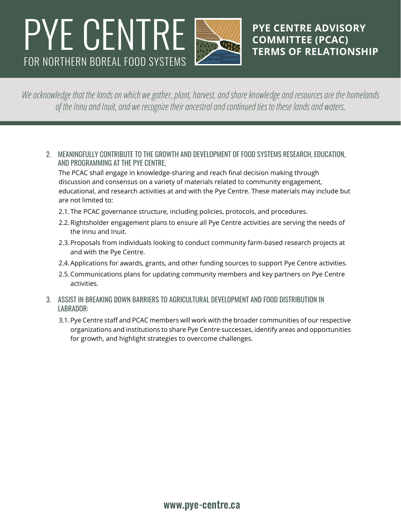## FOR NORTHERN BOREAL FOOD SYSTEMS **PYE CENTRE COMMITTEE (PCAC)**



**COMMITTEE (PCAC) TERMS OF RELATIONSHIP**

*We acknowledge that the lands on which we gather, plant, harvest, and share knowledge and resources are the homelands of the Innu and Inuit, and we recognize their ancestral and continued ties to these lands and waters.*

2. MEANINGFULLY CONTRIBUTE TO THE GROWTH AND DEVELOPMENT OF FOOD SYSTEMS RESEARCH, EDUCATION, AND PROGRAMMING AT THE PYE CENTRE,

The PCAC shall engage in knowledge-sharing and reach final decision making through discussion and consensus on a variety of materials related to community engagement, educational, and research activities at and with the Pye Centre. These materials may include but are not limited to:

- 2.1.The PCAC governance structure, including policies, protocols, and procedures.
- 2.2.Rightsholder engagement plans to ensure all Pye Centre activities are serving the needs of the Innu and Inuit.
- 2.3.Proposals from individuals looking to conduct community farm-based research projects at and with the Pye Centre.
- 2.4.Applications for awards, grants, and other funding sources to support Pye Centre activities.
- 2.5.Communications plans for updating community members and key partners on Pye Centre activities.
- 3. ASSIST IN BREAKING DOWN BARRIERS TO AGRICULTURAL DEVELOPMENT AND FOOD DISTRIBUTION IN LABRADOR:
	- 3.1.Pye Centre staff and PCAC members will work with the broader communities of our respective organizations and institutions to share Pye Centre successes, identify areas and opportunities for growth, and highlight strategies to overcome challenges.